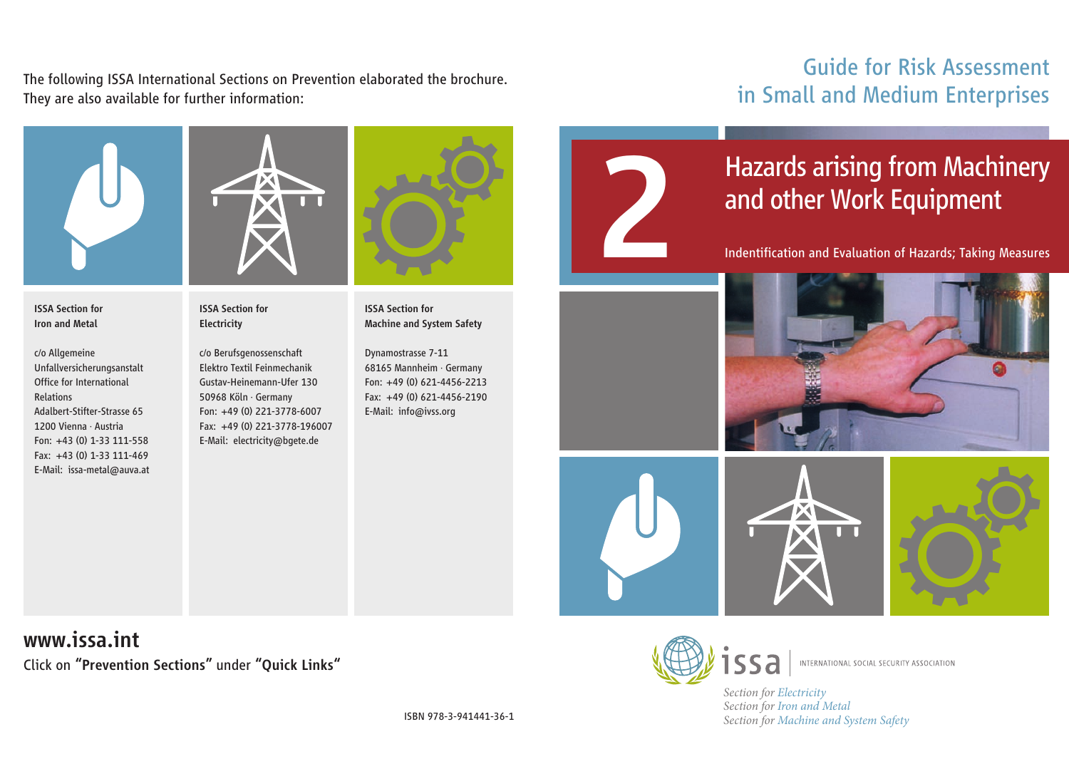The following ISSA International Sections on Prevention elaborated the brochure. They are also available for further information:

# Guide for Risk Assessment in Small and Medium Enterprises



ISSA Section for Iron and Metal

c/o Allgemeine Unfallversicherungsanstalt Office for International Relations Adalbert-Stifter-Strasse 65 1200 Vienna · Austria Fon: +43 (0) 1-33 111-558 Fax: +43 (0) 1-33 111-469 E-Mail: issa-metal@auva.at ISSA Section for **Electricity** 

c/o Berufsgenossenschaft Elektro Textil Feinmechanik Gustav-Heinemann-Ufer 130 50968 Köln · Germany Fon: +49 (0) 221-3778-6007 Fax: +49 (0) 221-3778-196007 E-Mail: electricity@bgete.de



ISSA Section for Machine and System Safety

Dynamostrasse 7-11 68165 Mannheim · Germany Fon: +49 (0) 621-4456-2213 Fax: +49 (0) 621-4456-2190 E-Mail: info@ivss.org



Indentification and Evaluation of Hazards; Taking Measures



www.issa.int Click on "Prevention Sections" under "Quick Links"



INTERNATIONAL SOCIAL SECURITY ASSOCIATION

*Section for Electricity Section for Iron and Metal Section for Machine and System Safety*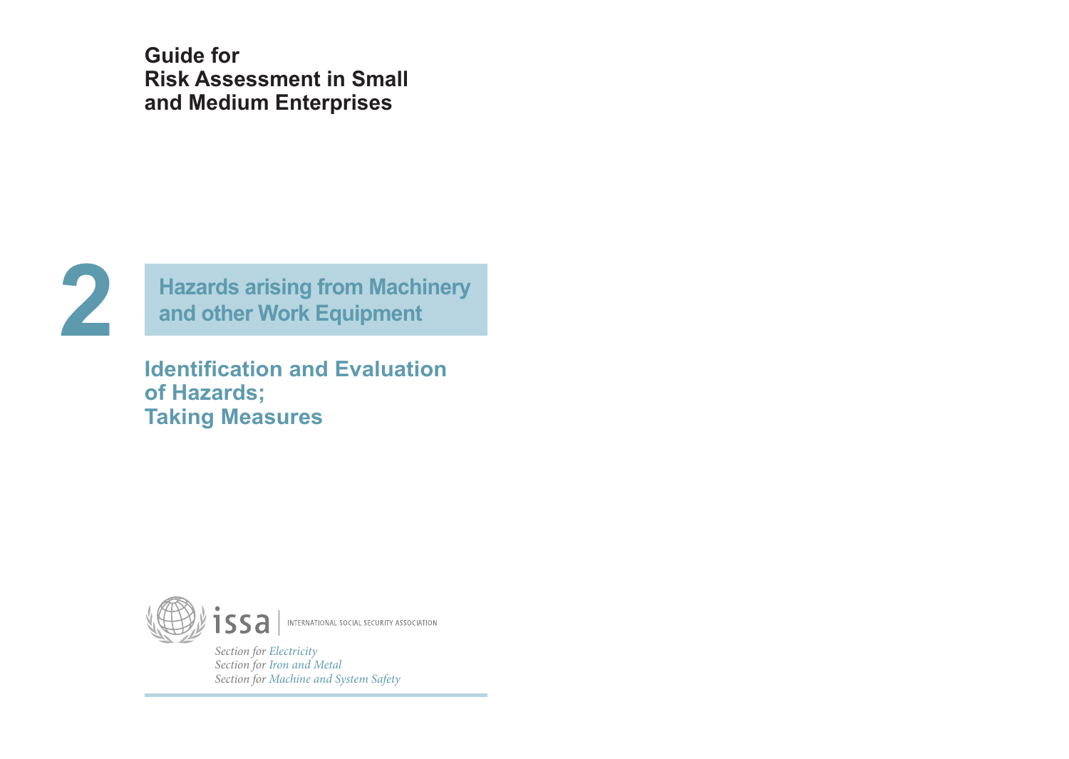**Guide for Risk Assessment in Small and Medium Enterprises**



**Hazards arising from Machinery<br>
<b>2 and other Work Equipment** 

**Identification and Evaluation of Hazards; Taking Measures**



*Section for Electricity Section for Iron and Metal Section for Machine and System Safety*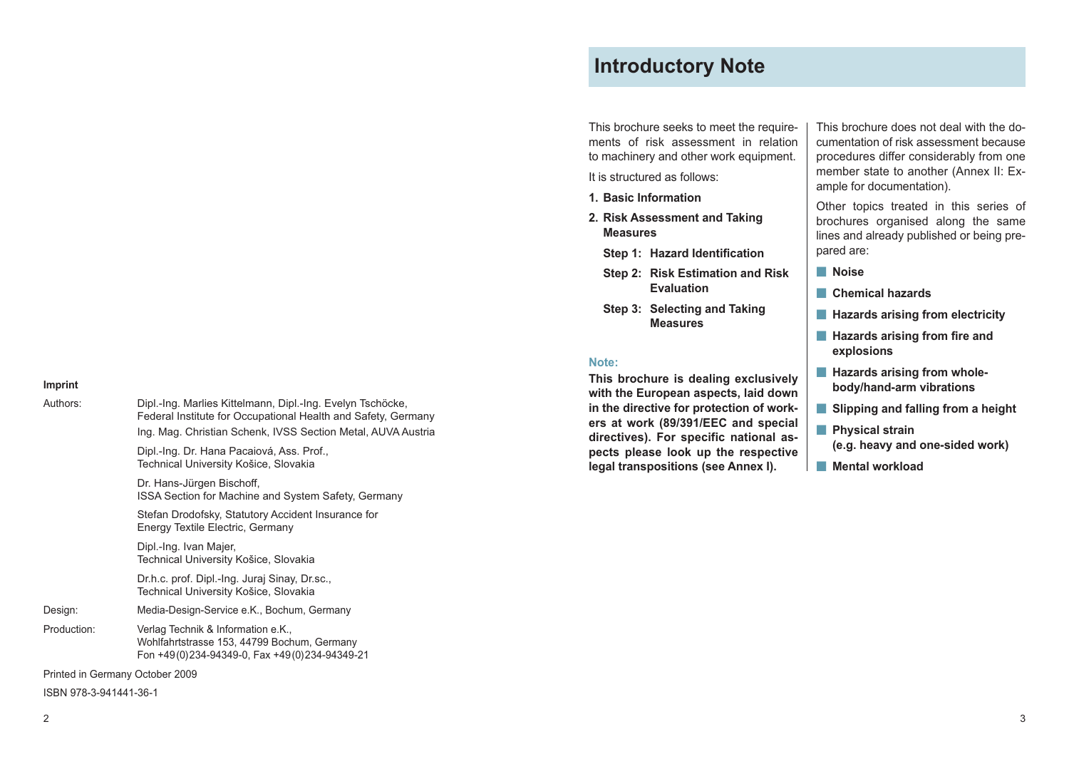|                                 | Federal Institute for Occupational Health and Safety, Germany<br>Ing. Mag. Christian Schenk, IVSS Section Metal, AUVA Austria      |
|---------------------------------|------------------------------------------------------------------------------------------------------------------------------------|
|                                 | Dipl.-Ing. Dr. Hana Pacaiová, Ass. Prof.,<br>Technical University Košice, Slovakia                                                 |
|                                 | Dr. Hans-Jürgen Bischoff,<br>ISSA Section for Machine and System Safety, Germany                                                   |
|                                 | Stefan Drodofsky, Statutory Accident Insurance for<br>Energy Textile Electric, Germany                                             |
|                                 | Dipl.-Ing. Ivan Majer,<br>Technical University Košice, Slovakia                                                                    |
|                                 | Dr.h.c. prof. Dipl.-Ing. Juraj Sinay, Dr.sc.,<br>Technical University Košice, Slovakia                                             |
| Design:                         | Media-Design-Service e.K., Bochum, Germany                                                                                         |
| Production:                     | Verlag Technik & Information e.K.,<br>Wohlfahrtstrasse 153, 44799 Bochum, Germany<br>Fon +49(0)234-94349-0, Fax +49(0)234-94349-21 |
| Printed in Germany October 2009 |                                                                                                                                    |
| ISBN 978-3-941441-36-1          |                                                                                                                                    |

Authors: Dipl.-Ing. Marlies Kittelmann, Dipl.-Ing. Evelyn Tschöcke,

**Introductory Note**

This brochure seeks to meet the requirements of risk assessment in relation to machinery and other work equipment.

It is structured as follows:

- **1. Basic Information**
- **2. Risk Assessment and Taking Measures**
	- **Step 1: Hazard Identification**
	- **Step 2: Risk Estimation and Risk Evaluation**
	- **Step 3: Selecting and Taking Measures**

#### **Note:**

**This brochure is dealing exclusively with the European aspects, laid down in the directive for protection of workers at work (89/391/EEC and special directives). For specific national aspects please look up the respective legal transpositions (see Annex I).**

This brochure does not deal with the documentation of risk assessment because procedures differ considerably from one member state to another (Annex II: Example for documentation).

Other topics treated in this series of brochures organised along the same lines and already published or being prepared are:

- **Noise**
- **Chemical hazards**
- **Hazards arising from electricity**
- **Hazards arising from fire and explosions**
- **Hazards arising from wholebody/hand-arm vibrations**
- **Slipping and falling from a height**
- **Physical strain (e.g. heavy and one-sided work)**
- **Mental workload**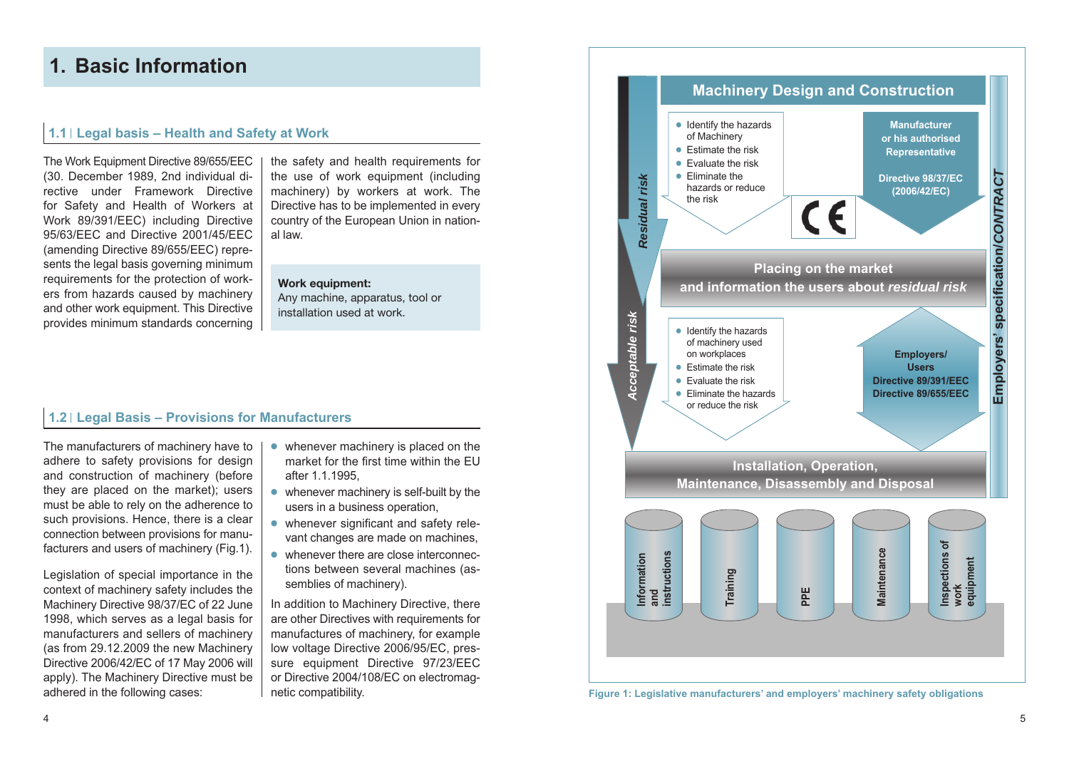### **1. Basic Information**

#### **1.1 Legal basis – Health and Safety at Work**

The Work Equipment Directive 89/655/EEC (30. December 1989, 2nd individual directive under Framework Directive for Safety and Health of Workers at Work 89/391/EEC) including Directive 95/63/EEC and Directive 2001/45/EEC (amending Directive 89/655/EEC) represents the legal basis governing minimum requirements for the protection of workers from hazards caused by machinery and other work equipment. This Directive provides minimum standards concerning the safety and health requirements for the use of work equipment (including machinery) by workers at work. The Directive has to be implemented in every country of the European Union in national law.

#### **Work equipment:**

Any machine, apparatus, tool or installation used at work.

#### **1.2 Legal Basis – Provisions for Manufacturers**

The manufacturers of machinery have to adhere to safety provisions for design and construction of machinery (before they are placed on the market); users must be able to rely on the adherence to such provisions. Hence, there is a clear connection between provisions for manufacturers and users of machinery (Fig.1).

Legislation of special importance in the context of machinery safety includes the Machinery Directive 98/37/EC of 22 June 1998, which serves as a legal basis for manufacturers and sellers of machinery (as from 29.12.2009 the new Machinery Directive 2006/42/EC of 17 May 2006 will apply). The Machinery Directive must be adhered in the following cases:

- **●** whenever machinery is placed on the market for the first time within the EU after 1.1.1995,
- **●** whenever machinery is self-built by the users in a business operation,
- **●** whenever significant and safety relevant changes are made on machines,
- **●** whenever there are close interconnections between several machines (assemblies of machinery).

In addition to Machinery Directive, there are other Directives with requirements for manufactures of machinery, for example low voltage Directive 2006/95/EC, pressure equipment Directive 97/23/EEC or Directive 2004/108/EC on electromagnetic compatibility.



**Figure 1: Legislative manufacturers' and employers' machinery safety obligations**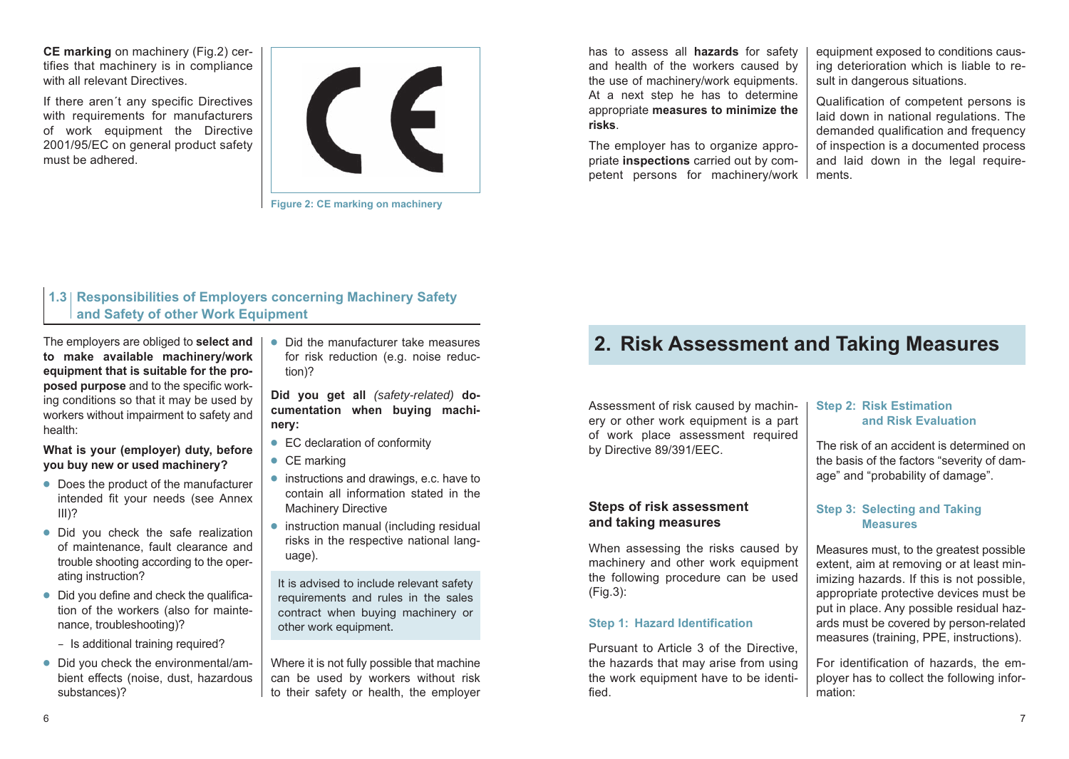**CE marking** on machinery (Fig.2) certifies that machinery is in compliance with all relevant Directives

If there aren´t any specific Directives with requirements for manufacturers of work equipment the Directive 2001/95/EC on general product safety must be adhered.



**Figure 2: CE marking on machinery**

has to assess all **hazards** for safety and health of the workers caused by the use of machinery/work equipments. At a next step he has to determine appropriate **measures to minimize the risks**.

The employer has to organize appropriate **inspections** carried out by competent persons for machinery/work equipment exposed to conditions causing deterioration which is liable to result in dangerous situations.

Qualification of competent persons is laid down in national regulations. The demanded qualification and frequency of inspection is a documented process and laid down in the legal requirements.

### **1.3 Responsibilities of Employers concerning Machinery Safety and Safety of other Work Equipment**

The employers are obliged to **select and to make available machinery/work equipment that is suitable for the proposed purpose** and to the specific working conditions so that it may be used by workers without impairment to safety and health:

#### **What is your (employer) duty, before you buy new or used machinery?**

- **●** Does the product of the manufacturer intended fit your needs (see Annex III)?
- **●** Did you check the safe realization of maintenance, fault clearance and trouble shooting according to the operating instruction?
- **●** Did you define and check the qualification of the workers (also for maintenance, troubleshooting)?
	- *–* Is additional training required?
- **●** Did you check the environmental/ambient effects (noise, dust, hazardous substances)?

**●** Did the manufacturer take measures for risk reduction (e.g. noise reduction)?

**Did you get all** *(safety-related)* **documentation when buying machinery:**

- **●** EC declaration of conformity
- **●** CE marking
- **●** instructions and drawings, e.c. have to contain all information stated in the Machinery Directive
- **●** instruction manual (including residual risks in the respective national language).

It is advised to include relevant safety requirements and rules in the sales contract when buying machinery or other work equipment.

Where it is not fully possible that machine can be used by workers without risk to their safety or health, the employer

## **2. Risk Assessment and Taking Measures**

Assessment of risk caused by machinery or other work equipment is a part of work place assessment required by Directive 89/391/EEC.

#### **Steps of risk assessment and taking measures**

When assessing the risks caused by machinery and other work equipment the following procedure can be used (Fig.3):

#### **Step 1: Hazard Identification**

Pursuant to Article 3 of the Directive, the hazards that may arise from using the work equipment have to be identified.

#### **Step 2: Risk Estimation and Risk Evaluation**

The risk of an accident is determined on the basis of the factors "severity of damage" and "probability of damage".

#### **Step 3: Selecting and Taking Measures**

Measures must, to the greatest possible extent, aim at removing or at least minimizing hazards. If this is not possible, appropriate protective devices must be put in place. Any possible residual hazards must be covered by person-related measures (training, PPE, instructions).

For identification of hazards, the employer has to collect the following information: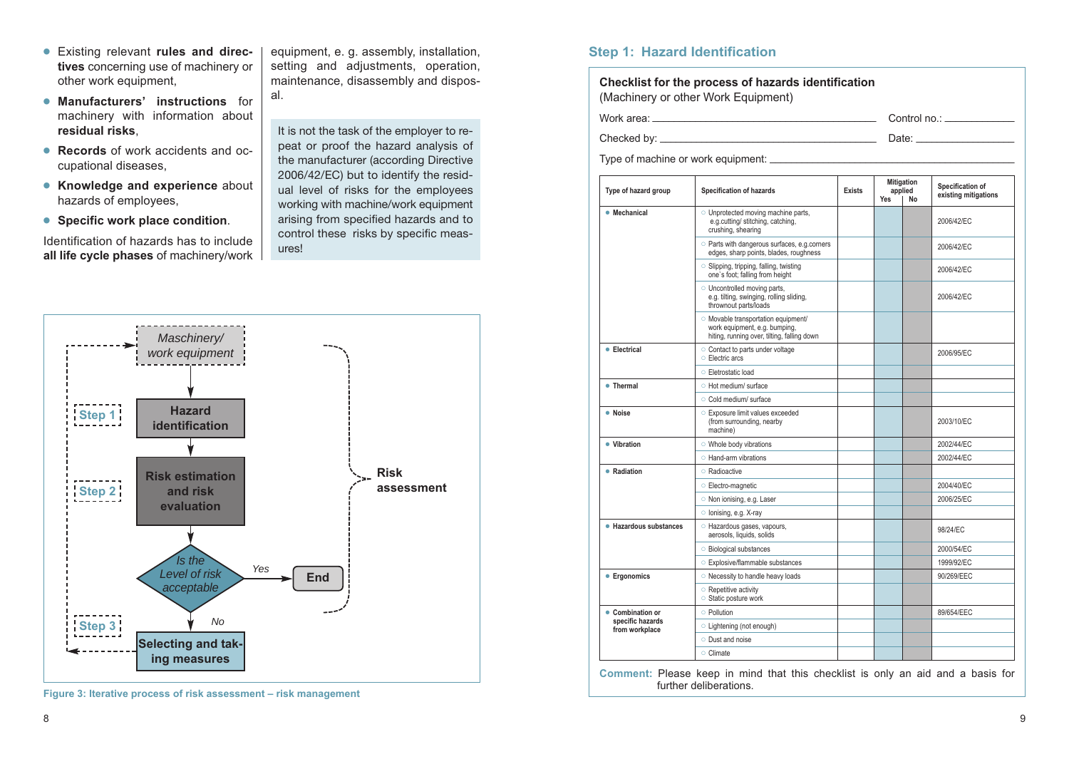**Step 3**

**● Knowledge and experience** about hazards of employees, **● Specific work place condition**. Identification of hazards has to include **all life cycle phases** of machinery/work ures! *Maschinery/ work equipment* **Hazard identification Risk estimation and risk evaluation Risk assessment Step 1 Step 2**

**●** Existing relevant **rules and directives** concerning use of machinery or other work equipment,

- **● Manufacturers' instructions** for machinery with information about **residual risks**,
- **● Records** of work accidents and occupational diseases,

equipment, e. g. assembly, installation, setting and adjustments, operation, maintenance, disassembly and disposal.

#### **Step 1: Hazard Identification**

further deliberations.

| ≀ <b>ns</b> for     | maintenance, disassembly and dispos-<br>al.                                                                           |                                    | Checklist for the process of hazards identification<br>(Machinery or other Work Equipment)                        |               |                                     |    |                                          |
|---------------------|-----------------------------------------------------------------------------------------------------------------------|------------------------------------|-------------------------------------------------------------------------------------------------------------------|---------------|-------------------------------------|----|------------------------------------------|
| about               |                                                                                                                       |                                    |                                                                                                                   |               |                                     |    | Control no.: ______________              |
|                     | It is not the task of the employer to re-<br>peat or proof the hazard analysis of                                     |                                    |                                                                                                                   |               |                                     |    | Date: ________________________           |
| and oc-             | the manufacturer (according Directive                                                                                 |                                    |                                                                                                                   |               |                                     |    |                                          |
| <b>e</b> about      | 2006/42/EC) but to identify the resid-<br>ual level of risks for the employees<br>working with machine/work equipment | Type of hazard group               | <b>Specification of hazards</b>                                                                                   | <b>Exists</b> | <b>Mitigation</b><br>applied<br>Yes | No | Specification of<br>existing mitigations |
| on.                 | arising from specified hazards and to<br>control these risks by specific meas-                                        | • Mechanical                       | ○ Unprotected moving machine parts,<br>e.g.cutting/stitching, catching,<br>crushing, shearing                     |               |                                     |    | 2006/42/EC                               |
| include<br>ery/work | ures!                                                                                                                 |                                    | O Parts with dangerous surfaces, e.g.corners<br>edges, sharp points, blades, roughness                            |               |                                     |    | 2006/42/EC                               |
|                     |                                                                                                                       |                                    | Slipping, tripping, falling, twisting<br>one's foot; falling from height                                          |               |                                     |    | 2006/42/EC                               |
|                     |                                                                                                                       |                                    | ○ Uncontrolled moving parts,<br>e.g. tilting, swinging, rolling sliding,<br>thrownout parts/loads                 |               |                                     |    | 2006/42/EC                               |
| ry/                 |                                                                                                                       |                                    | Movable transportation equipment/<br>work equipment, e.g. bumping,<br>hiting, running over, tilting, falling down |               |                                     |    |                                          |
| nent                |                                                                                                                       | • Electrical                       | ○ Contact to parts under voltage<br><b>Electric arcs</b>                                                          |               |                                     |    | 2006/95/EC                               |
|                     |                                                                                                                       |                                    | C Eletrostatic load                                                                                               |               |                                     |    |                                          |
|                     |                                                                                                                       | • Thermal                          | ○ Hot medium/ surface                                                                                             |               |                                     |    |                                          |
|                     |                                                                                                                       |                                    | ○ Cold medium/ surface                                                                                            |               |                                     |    |                                          |
| ion                 |                                                                                                                       | • Noise                            | ○ Exposure limit values exceeded<br>(from surrounding, nearby<br>machine)                                         |               |                                     |    | 2003/10/EC                               |
|                     |                                                                                                                       | • Vibration                        | ○ Whole body vibrations                                                                                           |               |                                     |    | 2002/44/EC                               |
|                     |                                                                                                                       |                                    | ○ Hand-arm vibrations                                                                                             |               |                                     |    | 2002/44/EC                               |
|                     | <b>Risk</b>                                                                                                           | • Radiation                        | ○ Radioactive                                                                                                     |               |                                     |    |                                          |
| <b>ition</b>        | assessment                                                                                                            |                                    | ○ Electro-magnetic                                                                                                |               |                                     |    | 2004/40/EC                               |
|                     |                                                                                                                       |                                    | ○ Non ionising, e.g. Laser                                                                                        |               |                                     |    | 2006/25/EC                               |
| n                   |                                                                                                                       |                                    | o Ionising, e.g. X-ray                                                                                            |               |                                     |    |                                          |
|                     |                                                                                                                       | • Hazardous substances             | ○ Hazardous gases, vapours,<br>aerosols, liquids, solids                                                          |               |                                     |    | 98/24/EC                                 |
|                     |                                                                                                                       |                                    | <b>Biological substances</b>                                                                                      |               |                                     |    | 2000/54/EC                               |
|                     |                                                                                                                       |                                    | ○ Explosive/flammable substances                                                                                  |               |                                     |    | 1999/92/EC                               |
| sk                  | Yes<br>End                                                                                                            | • Ergonomics                       | <b>O</b> Necessity to handle heavy loads                                                                          |               |                                     |    | 90/269/EEC                               |
| le,                 |                                                                                                                       |                                    | <b>C</b> Repetitive activity<br>Static posture work                                                               |               |                                     |    |                                          |
|                     |                                                                                                                       | • Combination or                   | O Pollution                                                                                                       |               |                                     |    | 89/654/EEC                               |
| No                  |                                                                                                                       | specific hazards<br>from workplace | ○ Lightening (not enough)                                                                                         |               |                                     |    |                                          |
| d tak-              |                                                                                                                       |                                    | O Dust and noise                                                                                                  |               |                                     |    |                                          |
|                     |                                                                                                                       |                                    | O Climate                                                                                                         |               |                                     |    |                                          |



**Selecting and taking measures**

*Is the Level of risk acceptable*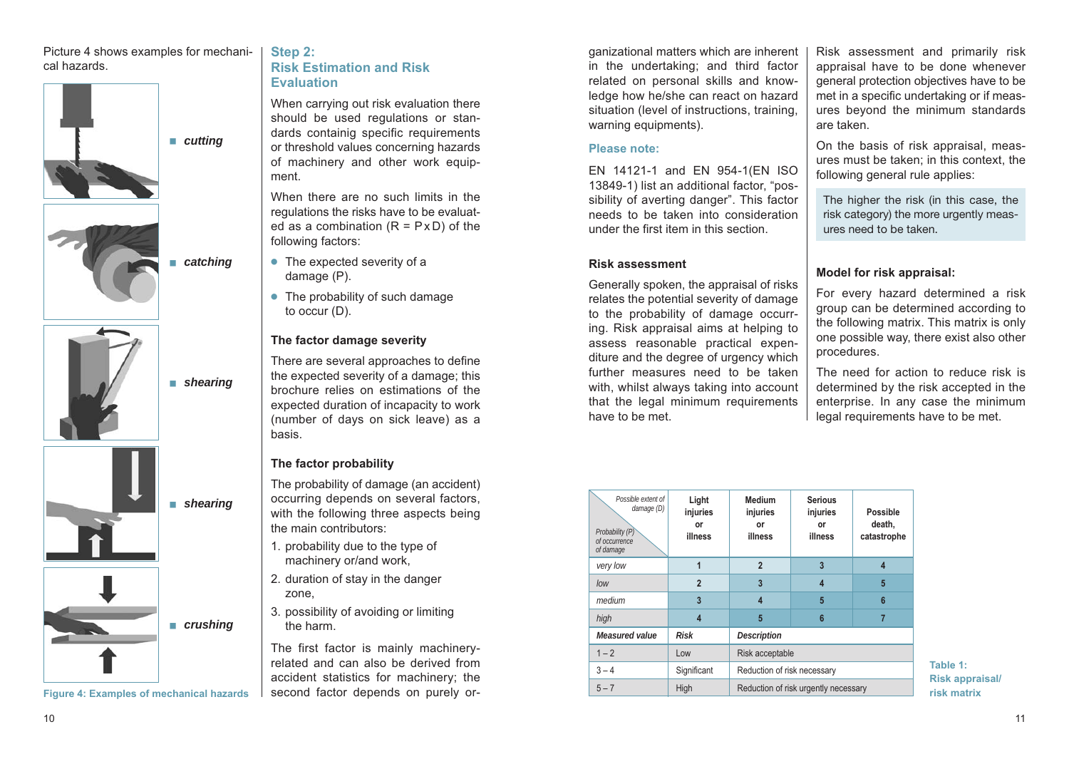Picture 4 shows examples for mechanical hazards.



*catching*

**-** *shearing*

**-** *cutting*







**Figure 4: Examples of mechanical hazards**

#### **Step 2: Risk Estimation and Risk Evaluation**

When carrying out risk evaluation there should be used regulations or standards containig specific requirements or threshold values concerning hazards of machinery and other work equipment.

When there are no such limits in the regulations the risks have to be evaluated as a combination  $(R = P \times D)$  of the following factors:

- **●** The expected severity of a damage (P).
- **●** The probability of such damage to occur (D).

#### **The factor damage severity**

There are several approaches to define the expected severity of a damage; this brochure relies on estimations of the expected duration of incapacity to work (number of days on sick leave) as a basis.

#### **The factor probability**

The probability of damage (an accident) occurring depends on several factors, with the following three aspects being the main contributors:

- 1. probability due to the type of machinery or/and work,
- 2. duration of stay in the danger zone,
- 3. possibility of avoiding or limiting the harm.

The first factor is mainly machineryrelated and can also be derived from accident statistics for machinery; the second factor depends on purely organizational matters which are inherent in the undertaking; and third factor related on personal skills and knowledge how he/she can react on hazard situation (level of instructions, training, warning equipments).

#### **Please note:**

EN 14121-1 and EN 954-1(EN ISO 13849-1) list an additional factor, "possibility of averting danger". This factor needs to be taken into consideration under the first item in this section.

#### **Risk assessment**

Generally spoken, the appraisal of risks relates the potential severity of damage to the probability of damage occurring. Risk appraisal aims at helping to assess reasonable practical expenditure and the degree of urgency which further measures need to be taken with, whilst always taking into account that the legal minimum requirements have to be met.

Risk assessment and primarily risk appraisal have to be done whenever general protection objectives have to be met in a specific undertaking or if measures beyond the minimum standards are taken.

On the basis of risk appraisal, measures must be taken; in this context, the following general rule applies:

The higher the risk (in this case, the risk category) the more urgently measures need to be taken.

#### **Model for risk appraisal:**

For every hazard determined a risk group can be determined according to the following matrix. This matrix is only one possible way, there exist also other procedures.

The need for action to reduce risk is determined by the risk accepted in the enterprise. In any case the minimum legal requirements have to be met.

| Possible extent of<br>damage (D)<br>Probability (P)<br>of occurrence<br>of damage | Light<br>injuries<br>or<br>illness | <b>Medium</b><br>injuries<br>or<br>illness | <b>Serious</b><br>injuries<br>or<br>illness | <b>Possible</b><br>death,<br>catastrophe |
|-----------------------------------------------------------------------------------|------------------------------------|--------------------------------------------|---------------------------------------------|------------------------------------------|
| very low                                                                          | 1                                  | $\overline{2}$                             | 3                                           | 4                                        |
| low                                                                               | $\overline{2}$                     | 3                                          | 4                                           | 5                                        |
| medium                                                                            | 3                                  | $\overline{4}$                             | 5                                           | 6                                        |
| high                                                                              | 4                                  | 5                                          | 6                                           | 7                                        |
| <b>Measured value</b>                                                             | <b>Risk</b>                        | <b>Description</b>                         |                                             |                                          |
| $1 - 2$                                                                           | Low                                | Risk acceptable                            |                                             |                                          |
| $3 - 4$                                                                           | Significant                        | Reduction of risk necessary                |                                             |                                          |
| $5 - 7$                                                                           | High                               |                                            | Reduction of risk urgently necessary        |                                          |

**Table 1: Risk appraisal/ risk matrix**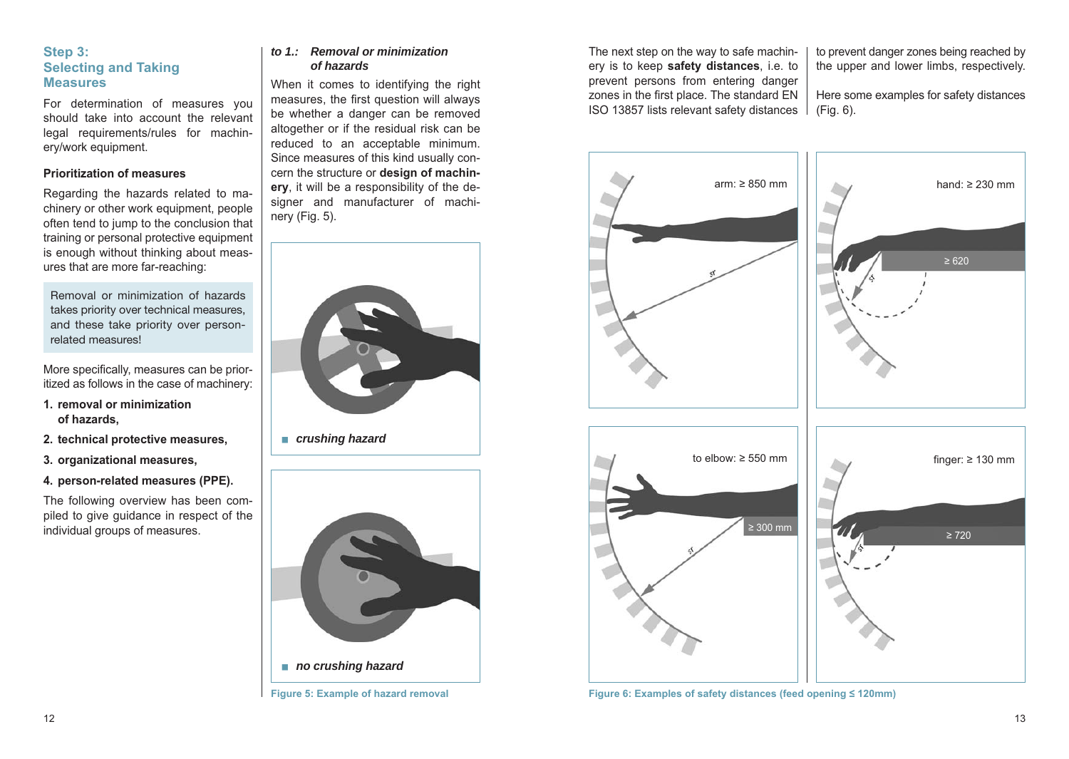#### **Step 3: Selecting and Taking Measures**

For determination of measures you should take into account the relevant legal requirements/rules for machinery/work equipment.

#### **Prioritization of measures**

Regarding the hazards related to machinery or other work equipment, people often tend to jump to the conclusion that training or personal protective equipment is enough without thinking about measures that are more far-reaching:

Removal or minimization of hazards takes priority over technical measures, and these take priority over personrelated measures!

More specifically, measures can be prioritized as follows in the case of machinery:

- **1. removal or minimization of hazards,**
- **2. technical protective measures,**
- **3. organizational measures,**
- **4. person-related measures (PPE).**

The following overview has been compiled to give guidance in respect of the individual groups of measures.

#### *to 1.: Removal or minimization of hazards*

When it comes to identifying the right measures, the first question will always be whether a danger can be removed altogether or if the residual risk can be reduced to an acceptable minimum. Since measures of this kind usually concern the structure or **design of machinery**, it will be a responsibility of the designer and manufacturer of machinery (Fig. 5).



**-** *crushing hazard*



The next step on the way to safe machinery is to keep **safety distances**, i.e. to prevent persons from entering danger zones in the first place. The standard EN ISO 13857 lists relevant safety distances to prevent danger zones being reached by the upper and lower limbs, respectively.

Here some examples for safety distances (Fig. 6).



**Figure 6: Examples of safety distances (feed opening ≤ 120mm)**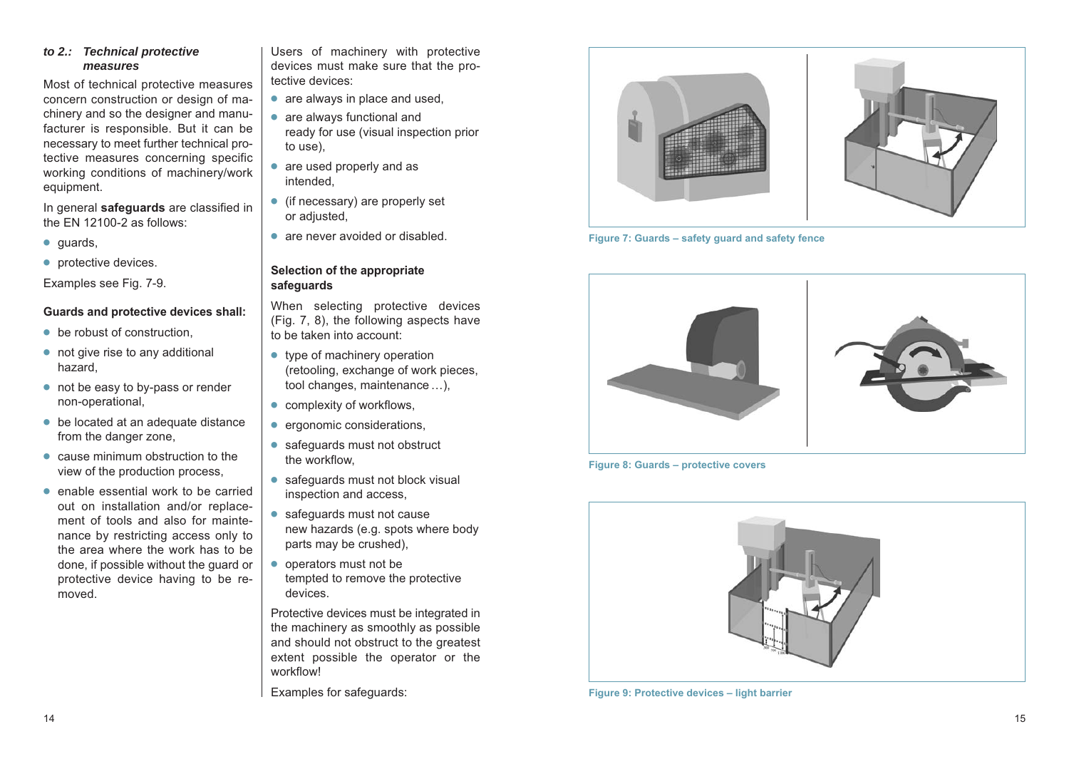#### *to 2.: Technical protective measures*

Most of technical protective measures concern construction or design of machinery and so the designer and manufacturer is responsible. But it can be necessary to meet further technical protective measures concerning specific working conditions of machinery/work equipment.

In general **safeguards** are classified in the EN 12100-2 as follows:

- **●** guards,
- **●** protective devices.

Examples see Fig. 7-9.

#### **Guards and protective devices shall:**

- be robust of construction,
- not give rise to any additional hazard,
- not be easy to by-pass or render non-operational,
- **●** be located at an adequate distance from the danger zone,
- **●** cause minimum obstruction to the view of the production process,
- **●** enable essential work to be carried out on installation and/or replacement of tools and also for maintenance by restricting access only to the area where the work has to be done, if possible without the guard or protective device having to be removed.

Users of machinery with protective devices must make sure that the protective devices:

- are always in place and used,
- **●** are always functional and ready for use (visual inspection prior to use),
- **●** are used properly and as intended,
- **●** (if necessary) are properly set or adjusted,
- are never avoided or disabled.

#### **Selection of the appropriate safeguards**

When selecting protective devices (Fig. 7, 8), the following aspects have to be taken into account:

- type of machinery operation (retooling, exchange of work pieces, tool changes, maintenance …),
- **●** complexity of workflows,
- **●** ergonomic considerations,
- safeguards must not obstruct the workflow,
- **●** safeguards must not block visual inspection and access,
- **●** safeguards must not cause new hazards (e.g. spots where body parts may be crushed),
- **●** operators must not be tempted to remove the protective devices.

Protective devices must be integrated in the machinery as smoothly as possible and should not obstruct to the greatest extent possible the operator or the workflow!

Examples for safeguards:







**Figure 8: Guards – protective covers**



**Figure 9: Protective devices – light barrier**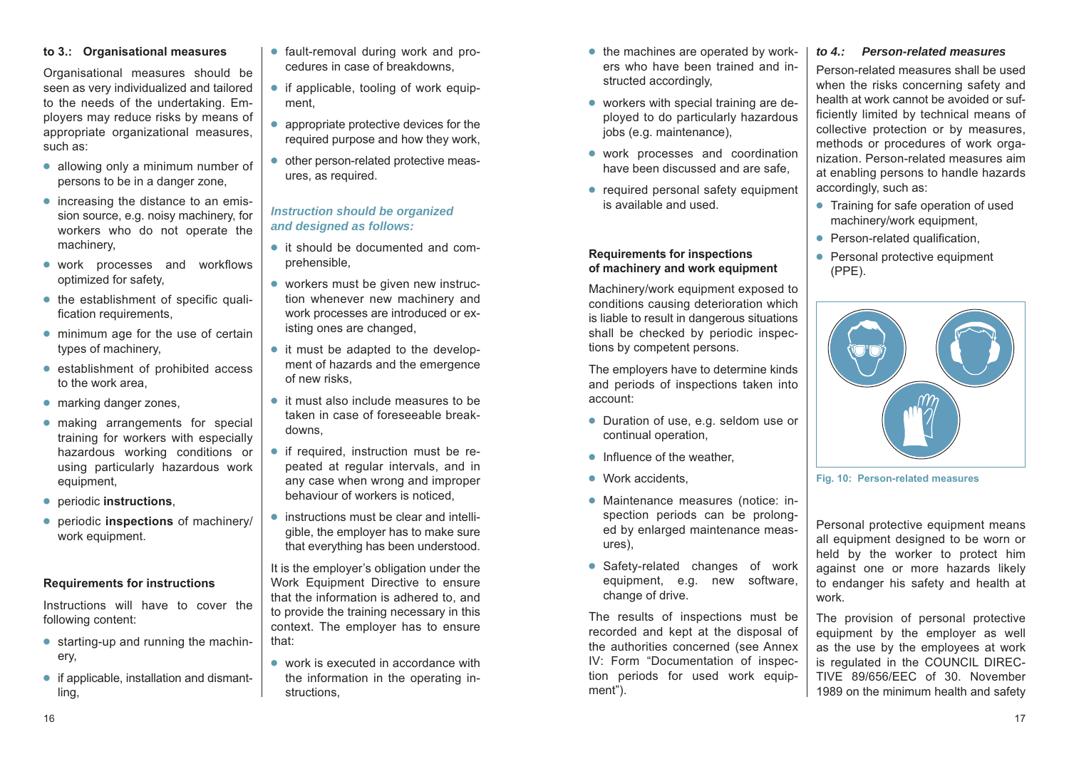#### **to 3.: Organisational measures**

Organisational measures should be seen as very individualized and tailored to the needs of the undertaking. Employers may reduce risks by means of appropriate organizational measures, such as:

- **●** allowing only a minimum number of persons to be in a danger zone,
- **●** increasing the distance to an emission source, e.g. noisy machinery, for workers who do not operate the machinery,
- **●** work processes and workflows optimized for safety,
- **●** the establishment of specific qualification requirements.
- **●** minimum age for the use of certain types of machinery,
- **●** establishment of prohibited access to the work area,
- **●** marking danger zones,
- **●** making arrangements for special training for workers with especially hazardous working conditions or using particularly hazardous work equipment,
- **●** periodic **instructions**,
- **●** periodic **inspections** of machinery/ work equipment.

#### **Requirements for instructions**

Instructions will have to cover the following content:

- **●** starting-up and running the machinery,
- **●** if applicable, installation and dismantling,
- **●** fault-removal during work and procedures in case of breakdowns,
- **●** if applicable, tooling of work equipment,
- **●** appropriate protective devices for the required purpose and how they work,
- **●** other person-related protective measures, as required.

#### *Instruction should be organized and designed as follows:*

- **●** it should be documented and comprehensible,
- **●** workers must be given new instruction whenever new machinery and work processes are introduced or existing ones are changed,
- **●** it must be adapted to the development of hazards and the emergence of new risks,
- **●** it must also include measures to be taken in case of foreseeable breakdowns,
- **●** if required, instruction must be repeated at regular intervals, and in any case when wrong and improper behaviour of workers is noticed,
- **●** instructions must be clear and intelligible, the employer has to make sure that everything has been understood.

It is the employer's obligation under the Work Equipment Directive to ensure that the information is adhered to, and to provide the training necessary in this context. The employer has to ensure that:

**●** work is executed in accordance with the information in the operating instructions,

- **●** the machines are operated by workers who have been trained and instructed accordingly,
- **●** workers with special training are deployed to do particularly hazardous jobs (e.g. maintenance),
- **●** work processes and coordination have been discussed and are safe,
- **●** required personal safety equipment is available and used.

#### **Requirements for inspections of machinery and work equipment**

Machinery/work equipment exposed to conditions causing deterioration which is liable to result in dangerous situations shall be checked by periodic inspections by competent persons.

The employers have to determine kinds and periods of inspections taken into account:

- **●** Duration of use, e.g. seldom use or continual operation,
- **●** Influence of the weather,
- **●** Work accidents,
- **●** Maintenance measures (notice: inspection periods can be prolonged by enlarged maintenance measures),
- **●** Safety-related changes of work equipment, e.g. new software, change of drive.

The results of inspections must be recorded and kept at the disposal of the authorities concerned (see Annex IV: Form "Documentation of inspection periods for used work equipment").

#### *to 4.: Person-related measures*

Person-related measures shall be used when the risks concerning safety and health at work cannot be avoided or sufficiently limited by technical means of collective protection or by measures, methods or procedures of work organization. Person-related measures aim at enabling persons to handle hazards accordingly, such as:

- **●** Training for safe operation of used machinery/work equipment,
- **●** Person-related qualification,
- Personal protective equipment (PPE).



**Fig. 10: Person-related measures**

Personal protective equipment means all equipment designed to be worn or held by the worker to protect him against one or more hazards likely to endanger his safety and health at work.

The provision of personal protective equipment by the employer as well as the use by the employees at work is regulated in the COUNCIL DIREC-TIVE 89/656/EEC of 30. November 1989 on the minimum health and safety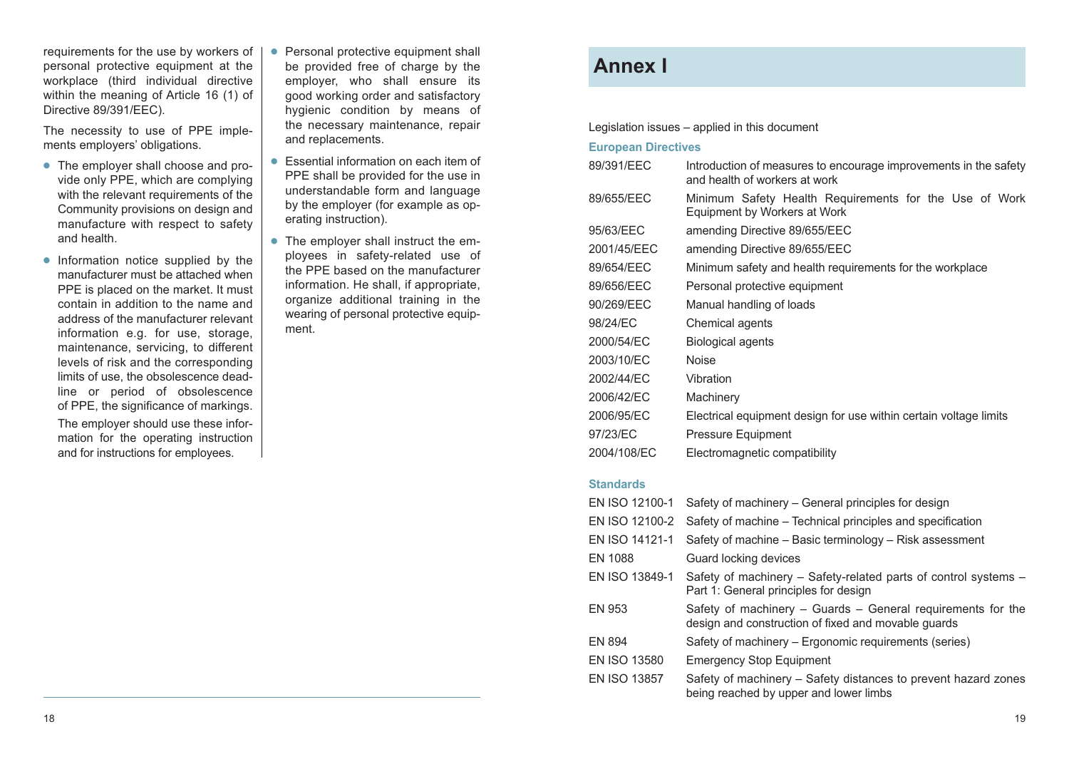requirements for the use by workers of personal protective equipment at the workplace (third individual directive within the meaning of Article 16 (1) of Directive 89/391/EEC).

The necessity to use of PPE implements employers' obligations.

- **●** The employer shall choose and provide only PPE, which are complying with the relevant requirements of the Community provisions on design and manufacture with respect to safety and health.
- **●** Information notice supplied by the manufacturer must be attached when PPE is placed on the market. It must contain in addition to the name and address of the manufacturer relevant information e.g. for use, storage, maintenance, servicing, to different levels of risk and the corresponding limits of use, the obsolescence deadline or period of obsolescence of PPE, the significance of markings. The employer should use these information for the operating instruction and for instructions for employees.
- **●** Personal protective equipment shall be provided free of charge by the employer, who shall ensure its good working order and satisfactory hygienic condition by means of the necessary maintenance, repair and replacements.
- **●** Essential information on each item of PPE shall be provided for the use in understandable form and language by the employer (for example as operating instruction).
- **●** The employer shall instruct the employees in safety-related use of the PPE based on the manufacturer information. He shall, if appropriate, organize additional training in the wearing of personal protective equipment.

## **Annex I**

Legislation issues – applied in this document

#### **European Directives**

| 89/391/EEC  | Introduction of measures to encourage improvements in the safety<br>and health of workers at work |
|-------------|---------------------------------------------------------------------------------------------------|
| 89/655/EEC  | Minimum Safety Health Requirements for the Use of Work<br>Equipment by Workers at Work            |
| 95/63/EEC   | amending Directive 89/655/EEC                                                                     |
| 2001/45/EEC | amending Directive 89/655/EEC                                                                     |
| 89/654/EEC  | Minimum safety and health requirements for the workplace                                          |
| 89/656/EEC  | Personal protective equipment                                                                     |
| 90/269/EEC  | Manual handling of loads                                                                          |
| 98/24/EC    | Chemical agents                                                                                   |
| 2000/54/EC  | <b>Biological agents</b>                                                                          |
| 2003/10/EC  | <b>Noise</b>                                                                                      |
| 2002/44/EC  | Vibration                                                                                         |
| 2006/42/EC  | Machinery                                                                                         |
| 2006/95/EC  | Electrical equipment design for use within certain voltage limits                                 |
| 97/23/EC    | <b>Pressure Equipment</b>                                                                         |
| 2004/108/EC | Electromagnetic compatibility                                                                     |
|             |                                                                                                   |

#### **Standards**

| EN ISO 12100-1      | Safety of machinery – General principles for design                                                                    |
|---------------------|------------------------------------------------------------------------------------------------------------------------|
| EN ISO 12100-2      | Safety of machine – Technical principles and specification                                                             |
| EN ISO 14121-1      | Safety of machine - Basic terminology - Risk assessment                                                                |
| EN 1088             | Guard locking devices                                                                                                  |
| EN ISO 13849-1      | Safety of machinery – Safety-related parts of control systems –<br>Part 1: General principles for design               |
| EN 953              | Safety of machinery $-$ Guards $-$ General requirements for the<br>design and construction of fixed and movable guards |
| EN 894              | Safety of machinery - Ergonomic requirements (series)                                                                  |
| <b>EN ISO 13580</b> | <b>Emergency Stop Equipment</b>                                                                                        |
| <b>EN ISO 13857</b> | Safety of machinery - Safety distances to prevent hazard zones<br>being reached by upper and lower limbs               |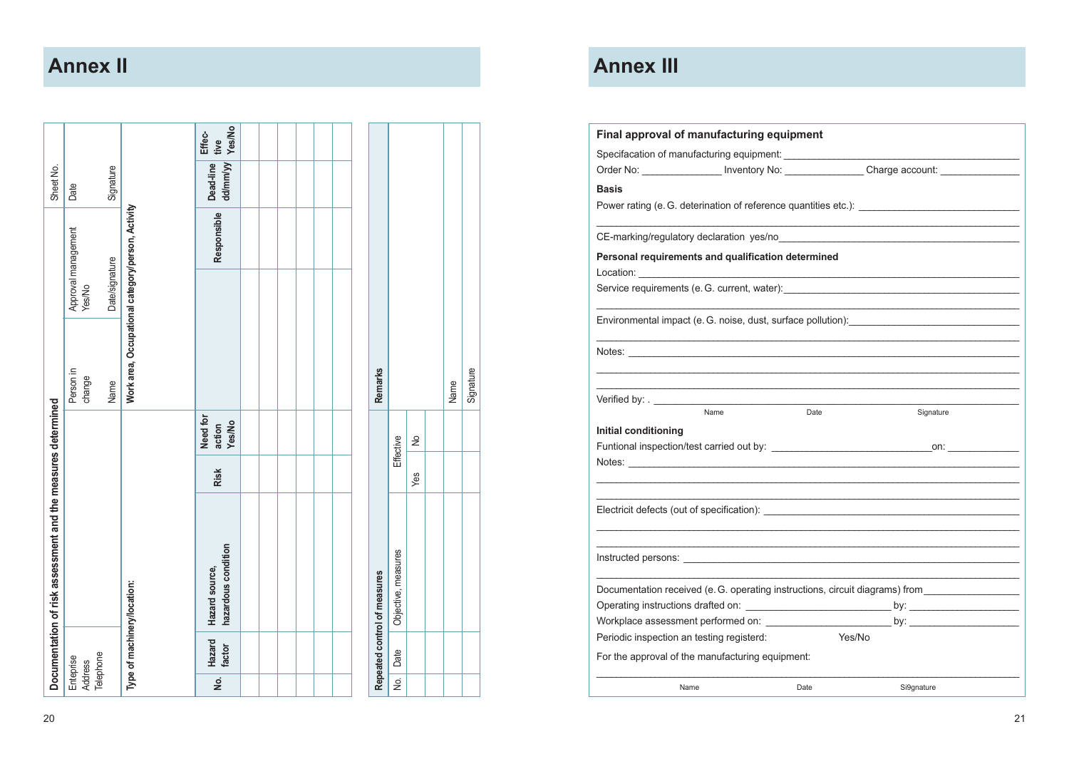|                                                              |                               |                |                                                   | Yes/No<br>Effec-<br>tive              |  |  |  |                              |                     |               |      |           |
|--------------------------------------------------------------|-------------------------------|----------------|---------------------------------------------------|---------------------------------------|--|--|--|------------------------------|---------------------|---------------|------|-----------|
| Sheet No.                                                    | Date                          | Signature      |                                                   | dd/mm/yy<br>Dead-line                 |  |  |  |                              |                     |               |      |           |
|                                                              |                               |                |                                                   | Responsible                           |  |  |  |                              |                     |               |      |           |
|                                                              | Approval management<br>Yes/No | Date/signature |                                                   |                                       |  |  |  |                              |                     |               |      |           |
|                                                              | Person in<br>change           | Name           | Work area, Occupational category/person, Activity |                                       |  |  |  | <b>Remarks</b>               |                     |               | Name | Signature |
|                                                              |                               |                |                                                   | Need for<br><b>Yes/No</b><br>action   |  |  |  |                              | Effective           | $\frac{1}{2}$ |      |           |
|                                                              |                               |                |                                                   | Risk                                  |  |  |  |                              |                     | Yes           |      |           |
| Documentation of risk assessment and the measures determined |                               |                | Type of machinery/location:                       | hazardous condition<br>Hazard source, |  |  |  | Repeated control of measures | Objective, measures |               |      |           |
|                                                              | Telephone                     |                |                                                   | Hazard<br>factor                      |  |  |  |                              | Date                |               |      |           |
|                                                              | Enteprise<br><b>Address</b>   |                |                                                   | S.                                    |  |  |  |                              | <u>ģ</u>            |               |      |           |

# **Annex II Annex III**

|                             | Final approval of manufacturing equipment                  |      |                                                                                                                                                                                                                                  |
|-----------------------------|------------------------------------------------------------|------|----------------------------------------------------------------------------------------------------------------------------------------------------------------------------------------------------------------------------------|
|                             | Specifacation of manufacturing equipment: ________________ |      |                                                                                                                                                                                                                                  |
|                             |                                                            |      | Order No: _________________ Inventory No: ________________Charge account: ______________                                                                                                                                         |
| <b>Basis</b>                |                                                            |      |                                                                                                                                                                                                                                  |
|                             |                                                            |      |                                                                                                                                                                                                                                  |
|                             |                                                            |      | CE-marking/regulatory declaration yes/no<br>example and the contract of the contract of the contract of the contract of the contract of the contract of the contract of the contract of the contract of the contract of the cont |
|                             | Personal requirements and qualification determined         |      |                                                                                                                                                                                                                                  |
|                             |                                                            |      |                                                                                                                                                                                                                                  |
|                             |                                                            |      | Service requirements (e. G. current, water): Service requirements (e. G. current, water):                                                                                                                                        |
|                             |                                                            |      | Environmental impact (e. G. noise, dust, surface pollution): [[11] Content and Content and Content and Content                                                                                                                   |
|                             |                                                            |      |                                                                                                                                                                                                                                  |
|                             |                                                            |      |                                                                                                                                                                                                                                  |
|                             | Name                                                       | Date | Signature                                                                                                                                                                                                                        |
| <b>Initial conditioning</b> |                                                            |      |                                                                                                                                                                                                                                  |
|                             |                                                            |      |                                                                                                                                                                                                                                  |
|                             |                                                            |      |                                                                                                                                                                                                                                  |
|                             |                                                            |      |                                                                                                                                                                                                                                  |
|                             |                                                            |      | and the control of the control of the control of the control of the control of the control of the control of the                                                                                                                 |
|                             |                                                            |      | Documentation received (e. G. operating instructions, circuit diagrams) from__________________                                                                                                                                   |
|                             |                                                            |      |                                                                                                                                                                                                                                  |
|                             |                                                            |      |                                                                                                                                                                                                                                  |
|                             | Periodic inspection an testing registerd:                  |      | Yes/No                                                                                                                                                                                                                           |
|                             | For the approval of the manufacturing equipment:           |      |                                                                                                                                                                                                                                  |
|                             | Name                                                       | Date | Si9gnature                                                                                                                                                                                                                       |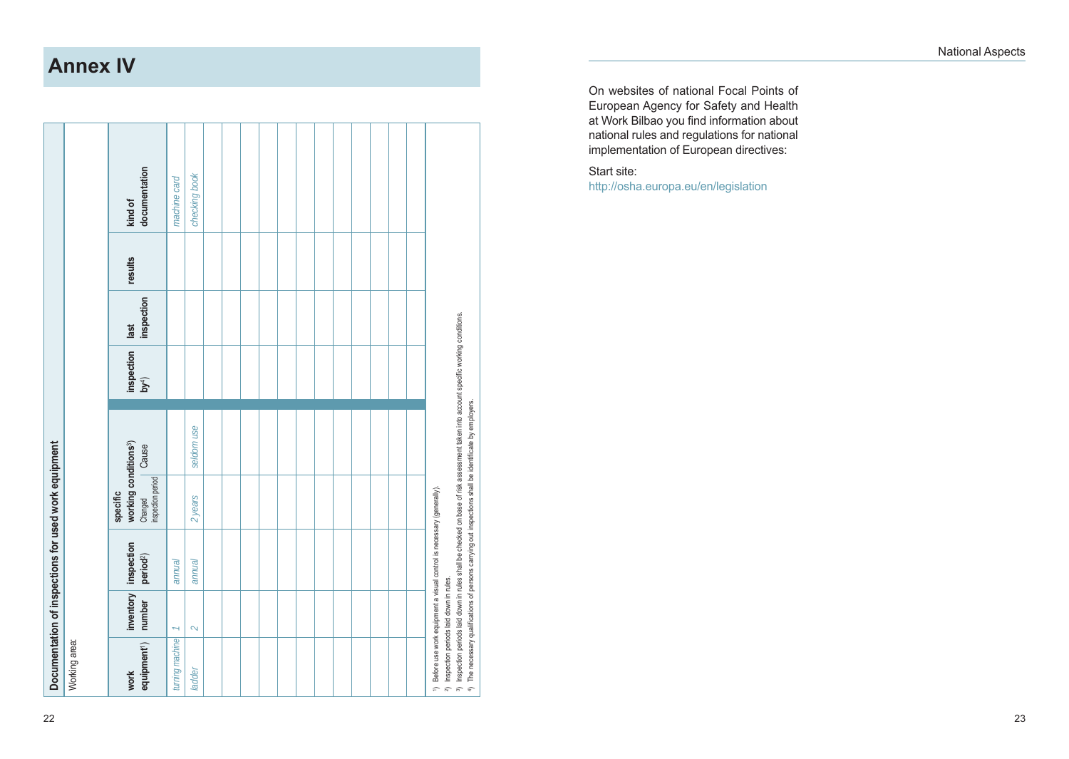# **Annex IV**

|                                                       |                         | Documentation of inspections for used work equipment                    |                                                                               |                                                                                                                                                                                                                                                 |                                |                    |         |                          |
|-------------------------------------------------------|-------------------------|-------------------------------------------------------------------------|-------------------------------------------------------------------------------|-------------------------------------------------------------------------------------------------------------------------------------------------------------------------------------------------------------------------------------------------|--------------------------------|--------------------|---------|--------------------------|
| Working area:                                         |                         |                                                                         |                                                                               |                                                                                                                                                                                                                                                 |                                |                    |         |                          |
| equipment <sup>1</sup> ) number<br>work               |                         | inventory inspection<br>period <sup>2</sup> )                           | working conditions <sup>3</sup> )<br>Changed<br>inspection period<br>specific | Cause                                                                                                                                                                                                                                           | inspection<br>by <sup>4)</sup> | inspection<br>last | results | documentation<br>kind of |
| turning machine                                       | T                       | annual                                                                  |                                                                               |                                                                                                                                                                                                                                                 |                                |                    |         | machine card             |
| ladder                                                | $\overline{\mathsf{N}}$ | annual                                                                  | 2 years                                                                       | seldom use                                                                                                                                                                                                                                      |                                |                    |         | checking book            |
|                                                       |                         |                                                                         |                                                                               |                                                                                                                                                                                                                                                 |                                |                    |         |                          |
|                                                       |                         |                                                                         |                                                                               |                                                                                                                                                                                                                                                 |                                |                    |         |                          |
|                                                       |                         |                                                                         |                                                                               |                                                                                                                                                                                                                                                 |                                |                    |         |                          |
|                                                       |                         |                                                                         |                                                                               |                                                                                                                                                                                                                                                 |                                |                    |         |                          |
|                                                       |                         |                                                                         |                                                                               |                                                                                                                                                                                                                                                 |                                |                    |         |                          |
|                                                       |                         |                                                                         |                                                                               |                                                                                                                                                                                                                                                 |                                |                    |         |                          |
|                                                       |                         |                                                                         |                                                                               |                                                                                                                                                                                                                                                 |                                |                    |         |                          |
|                                                       |                         |                                                                         |                                                                               |                                                                                                                                                                                                                                                 |                                |                    |         |                          |
|                                                       |                         |                                                                         |                                                                               |                                                                                                                                                                                                                                                 |                                |                    |         |                          |
|                                                       |                         |                                                                         |                                                                               |                                                                                                                                                                                                                                                 |                                |                    |         |                          |
|                                                       |                         |                                                                         |                                                                               |                                                                                                                                                                                                                                                 |                                |                    |         |                          |
|                                                       |                         |                                                                         |                                                                               |                                                                                                                                                                                                                                                 |                                |                    |         |                          |
| <sup>2</sup> ) Inspection periods laid down in rules. |                         | 1) Before use work equipment a visual control is necessary (generally). |                                                                               | 3) Inspection periods laid down in rules shall be checked on base of risk assessment taken into account specific working conditions.<br>4) The necessary qualifications of persons carrying out inspections shall be identificate by employers. |                                |                    |         |                          |

On websites of national Focal Points of European Agency for Safety and Health at Work Bilbao you find information about national rules and regulations for national implementation of European directives:

#### Start site:

http://osha.europa.eu/en/legislation